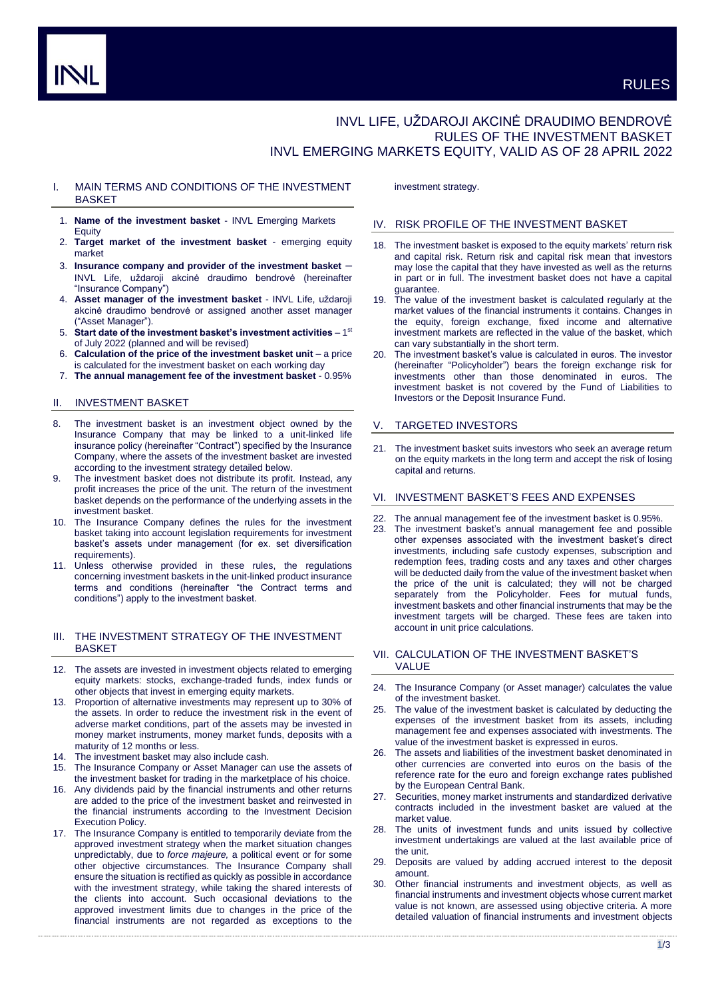# INVL LIFE, UŽDAROJI AKCINĖ DRAUDIMO BENDROVĖ RULES OF THE INVESTMENT BASKET INVL EMERGING MARKETS EQUITY, VALID AS OF 28 APRIL 2022

# I. MAIN TERMS AND CONDITIONS OF THE INVESTMENT BASKET

- 1. **Name of the investment basket** INVL Emerging Markets **Equity**
- 2. **Target market of the investment basket** emerging equity market
- 3. **Insurance company and provider of the investment basket** INVL Life, uždaroji akcinė draudimo bendrovė (hereinafter "Insurance Company")
- 4. **Asset manager of the investment basket** INVL Life, uždaroji akcinė draudimo bendrovė or assigned another asset manager ("Asset Manager").
- 5. Start date of the investment basket's investment activities 1<sup>st</sup> of July 2022 (planned and will be revised)
- 6. **Calculation of the price of the investment basket unit** a price is calculated for the investment basket on each working day
- 7. **The annual management fee of the investment basket** 0.95%

## II. INVESTMENT BASKET

- 8. The investment basket is an investment object owned by the Insurance Company that may be linked to a unit-linked life insurance policy (hereinafter "Contract") specified by the Insurance Company, where the assets of the investment basket are invested according to the investment strategy detailed below.
- 9. The investment basket does not distribute its profit. Instead, any profit increases the price of the unit. The return of the investment basket depends on the performance of the underlying assets in the investment basket.
- 10. The Insurance Company defines the rules for the investment basket taking into account legislation requirements for investment basket's assets under management (for ex. set diversification requirements).
- 11. Unless otherwise provided in these rules, the regulations concerning investment baskets in the unit-linked product insurance terms and conditions (hereinafter "the Contract terms and conditions") apply to the investment basket.

## III. THE INVESTMENT STRATEGY OF THE INVESTMENT **BASKET**

- 12. The assets are invested in investment objects related to emerging equity markets: stocks, exchange-traded funds, index funds or other objects that invest in emerging equity markets.
- Proportion of alternative investments may represent up to 30% of the assets. In order to reduce the investment risk in the event of adverse market conditions, part of the assets may be invested in money market instruments, money market funds, deposits with a maturity of 12 months or less.
- 14. The investment basket may also include cash.
- 15. The Insurance Company or Asset Manager can use the assets of the investment basket for trading in the marketplace of his choice.
- 16. Any dividends paid by the financial instruments and other returns are added to the price of the investment basket and reinvested in the financial instruments according to the Investment Decision Execution Policy.
- 17. The Insurance Company is entitled to temporarily deviate from the approved investment strategy when the market situation changes unpredictably, due to *force majeure,* a political event or for some other objective circumstances. The Insurance Company shall ensure the situation is rectified as quickly as possible in accordance with the investment strategy, while taking the shared interests of the clients into account. Such occasional deviations to the approved investment limits due to changes in the price of the financial instruments are not regarded as exceptions to the

investment strategy.

## IV. RISK PROFILE OF THE INVESTMENT BASKET

- 18. The investment basket is exposed to the equity markets' return risk and capital risk. Return risk and capital risk mean that investors may lose the capital that they have invested as well as the returns in part or in full. The investment basket does not have a capital guarantee.
- The value of the investment basket is calculated regularly at the market values of the financial instruments it contains. Changes in the equity, foreign exchange, fixed income and alternative investment markets are reflected in the value of the basket, which can vary substantially in the short term.
- 20. The investment basket's value is calculated in euros. The investor (hereinafter "Policyholder") bears the foreign exchange risk for investments other than those denominated in euros. The investment basket is not covered by the Fund of Liabilities to Investors or the Deposit Insurance Fund.

## **TARGETED INVESTORS**

21. The investment basket suits investors who seek an average return on the equity markets in the long term and accept the risk of losing capital and returns.

## VI. INVESTMENT BASKET'S FEES AND EXPENSES

- The annual management fee of the investment basket is 0.95%.
- The investment basket's annual management fee and possible other expenses associated with the investment basket's direct investments, including safe custody expenses, subscription and redemption fees, trading costs and any taxes and other charges will be deducted daily from the value of the investment basket when the price of the unit is calculated; they will not be charged separately from the Policyholder. Fees for mutual funds, investment baskets and other financial instruments that may be the investment targets will be charged. These fees are taken into account in unit price calculations.

## VII. CALCULATION OF THE INVESTMENT BASKET'S VALUE

- 24. The Insurance Company (or Asset manager) calculates the value of the investment basket.
- The value of the investment basket is calculated by deducting the expenses of the investment basket from its assets, including management fee and expenses associated with investments. The value of the investment basket is expressed in euros.
- 26. The assets and liabilities of the investment basket denominated in other currencies are converted into euros on the basis of the reference rate for the euro and foreign exchange rates published by the European Central Bank.
- 27. Securities, money market instruments and standardized derivative contracts included in the investment basket are valued at the market value.
- The units of investment funds and units issued by collective investment undertakings are valued at the last available price of the unit.
- Deposits are valued by adding accrued interest to the deposit amount.
- 30. Other financial instruments and investment objects, as well as financial instruments and investment objects whose current market value is not known, are assessed using objective criteria. A more detailed valuation of financial instruments and investment objects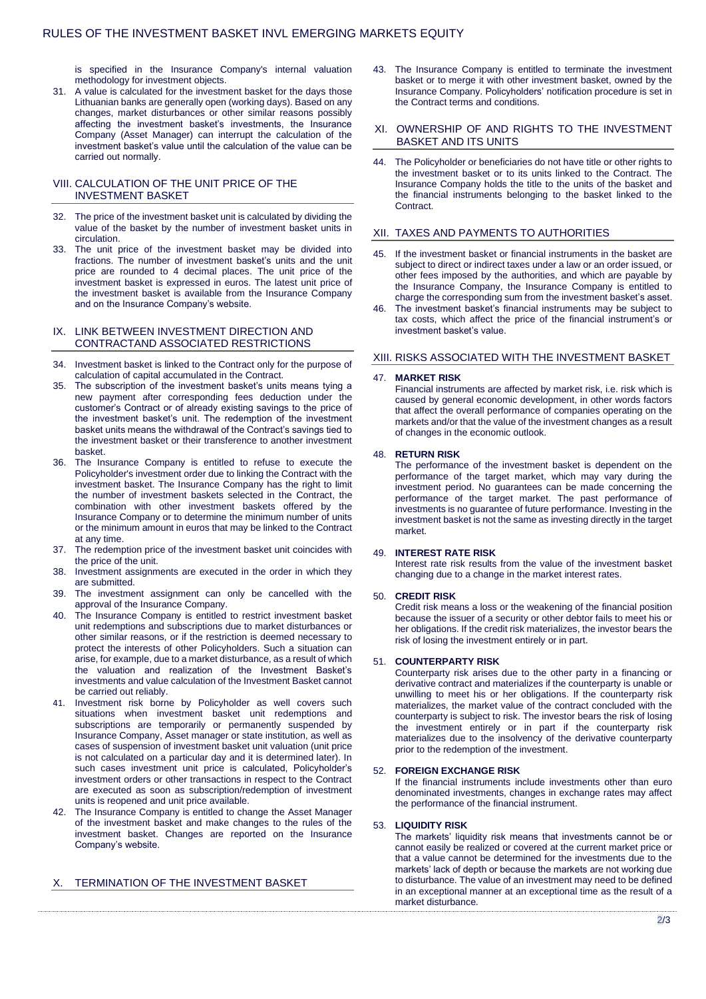is specified in the Insurance Company's internal valuation methodology for investment objects.

31. A value is calculated for the investment basket for the days those Lithuanian banks are generally open (working days). Based on any changes, market disturbances or other similar reasons possibly affecting the investment basket's investments, the Insurance Company (Asset Manager) can interrupt the calculation of the investment basket's value until the calculation of the value can be carried out normally.

## VIII. CALCULATION OF THE UNIT PRICE OF THE INVESTMENT BASKET

- 32. The price of the investment basket unit is calculated by dividing the value of the basket by the number of investment basket units in circulation.
- 33. The unit price of the investment basket may be divided into fractions. The number of investment basket's units and the unit price are rounded to 4 decimal places. The unit price of the investment basket is expressed in euros. The latest unit price of the investment basket is available from the Insurance Company and on the Insurance Company's website.

## IX. LINK BETWEEN INVESTMENT DIRECTION AND CONTRACTAND ASSOCIATED RESTRICTIONS

- 34. Investment basket is linked to the Contract only for the purpose of calculation of capital accumulated in the Contract.
- 35. The subscription of the investment basket's units means tying a new payment after corresponding fees deduction under the customer's Contract or of already existing savings to the price of the investment basket's unit. The redemption of the investment basket units means the withdrawal of the Contract's savings tied to the investment basket or their transference to another investment basket.
- 36. The Insurance Company is entitled to refuse to execute the Policyholder's investment order due to linking the Contract with the investment basket. The Insurance Company has the right to limit the number of investment baskets selected in the Contract, the combination with other investment baskets offered by the Insurance Company or to determine the minimum number of units or the minimum amount in euros that may be linked to the Contract at any time.
- 37. The redemption price of the investment basket unit coincides with the price of the unit.
- 38. Investment assignments are executed in the order in which they are submitted.
- 39. The investment assignment can only be cancelled with the approval of the Insurance Company.
- 40. The Insurance Company is entitled to restrict investment basket unit redemptions and subscriptions due to market disturbances or other similar reasons, or if the restriction is deemed necessary to protect the interests of other Policyholders. Such a situation can arise, for example, due to a market disturbance, as a result of which the valuation and realization of the Investment Basket's investments and value calculation of the Investment Basket cannot be carried out reliably.
- Investment risk borne by Policyholder as well covers such situations when investment basket unit redemptions and subscriptions are temporarily or permanently suspended by Insurance Company, Asset manager or state institution, as well as cases of suspension of investment basket unit valuation (unit price is not calculated on a particular day and it is determined later). In such cases investment unit price is calculated, Policyholder's investment orders or other transactions in respect to the Contract are executed as soon as subscription/redemption of investment units is reopened and unit price available.
- 42. The Insurance Company is entitled to change the Asset Manager of the investment basket and make changes to the rules of the investment basket. Changes are reported on the Insurance Company's website.

# X. TERMINATION OF THE INVESTMENT BASKET

43. The Insurance Company is entitled to terminate the investment basket or to merge it with other investment basket, owned by the Insurance Company. Policyholders' notification procedure is set in the Contract terms and conditions.

#### XI. OWNERSHIP OF AND RIGHTS TO THE INVESTMENT BASKET AND ITS UNITS

44. The Policyholder or beneficiaries do not have title or other rights to the investment basket or to its units linked to the Contract. The Insurance Company holds the title to the units of the basket and the financial instruments belonging to the basket linked to the Contract.

## XII. TAXES AND PAYMENTS TO AUTHORITIES

- If the investment basket or financial instruments in the basket are subject to direct or indirect taxes under a law or an order issued, or other fees imposed by the authorities, and which are payable by the Insurance Company, the Insurance Company is entitled to charge the corresponding sum from the investment basket's asset.
- 46. The investment basket's financial instruments may be subject to tax costs, which affect the price of the financial instrument's or investment basket's value.

# XIII. RISKS ASSOCIATED WITH THE INVESTMENT BASKET

## 47. **MARKET RISK**

Financial instruments are affected by market risk, i.e. risk which is caused by general economic development, in other words factors that affect the overall performance of companies operating on the markets and/or that the value of the investment changes as a result of changes in the economic outlook.

## 48. **RETURN RISK**

The performance of the investment basket is dependent on the performance of the target market, which may vary during the investment period. No guarantees can be made concerning the performance of the target market. The past performance of investments is no guarantee of future performance. Investing in the investment basket is not the same as investing directly in the target market.

## 49. **INTEREST RATE RISK**

Interest rate risk results from the value of the investment basket changing due to a change in the market interest rates.

## 50. **CREDIT RISK**

Credit risk means a loss or the weakening of the financial position because the issuer of a security or other debtor fails to meet his or her obligations. If the credit risk materializes, the investor bears the risk of losing the investment entirely or in part.

## 51. **COUNTERPARTY RISK**

Counterparty risk arises due to the other party in a financing or derivative contract and materializes if the counterparty is unable or unwilling to meet his or her obligations. If the counterparty risk materializes, the market value of the contract concluded with the counterparty is subject to risk. The investor bears the risk of losing the investment entirely or in part if the counterparty risk materializes due to the insolvency of the derivative counterparty prior to the redemption of the investment.

### 52. **FOREIGN EXCHANGE RISK**

If the financial instruments include investments other than euro denominated investments, changes in exchange rates may affect the performance of the financial instrument.

#### 53. **LIQUIDITY RISK**

The markets' liquidity risk means that investments cannot be or cannot easily be realized or covered at the current market price or that a value cannot be determined for the investments due to the markets' lack of depth or because the markets are not working due to disturbance. The value of an investment may need to be defined in an exceptional manner at an exceptional time as the result of a market disturbance.